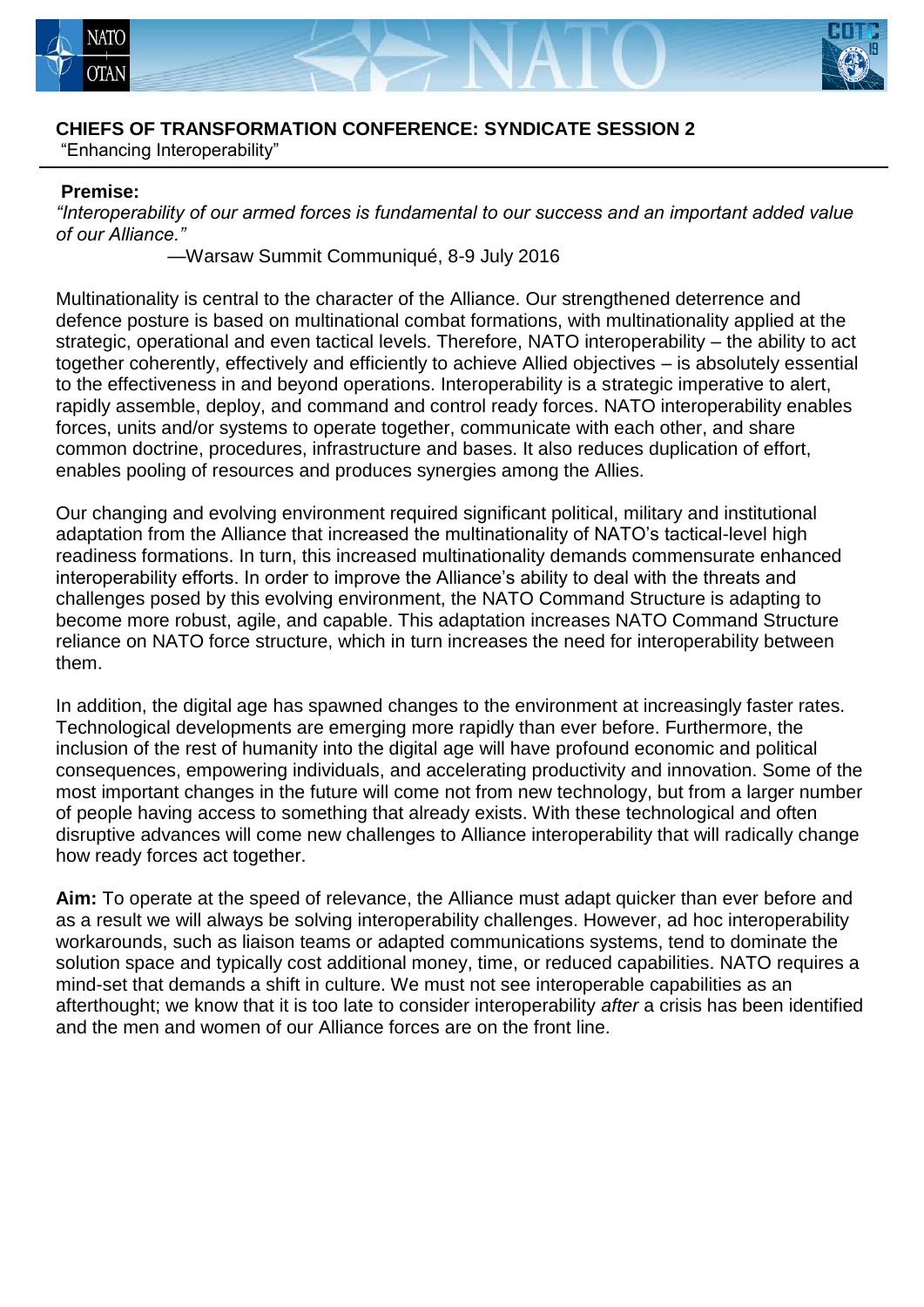



### **CHIEFS OF TRANSFORMATION CONFERENCE: SYNDICATE SESSION 2**

"Enhancing Interoperability"

#### **Premise:**

*"Interoperability of our armed forces is fundamental to our success and an important added value of our Alliance."* 

—Warsaw Summit Communiqué, 8-9 July 2016

Multinationality is central to the character of the Alliance. Our strengthened deterrence and defence posture is based on multinational combat formations, with multinationality applied at the strategic, operational and even tactical levels. Therefore, NATO interoperability – the ability to act together coherently, effectively and efficiently to achieve Allied objectives – is absolutely essential to the effectiveness in and beyond operations. Interoperability is a strategic imperative to alert, rapidly assemble, deploy, and command and control ready forces. NATO interoperability enables forces, units and/or systems to operate together, communicate with each other, and share common doctrine, procedures, infrastructure and bases. It also reduces duplication of effort, enables pooling of resources and produces synergies among the Allies.

Our changing and evolving environment required significant political, military and institutional adaptation from the Alliance that increased the multinationality of NATO's tactical-level high readiness formations. In turn, this increased multinationality demands commensurate enhanced interoperability efforts. In order to improve the Alliance's ability to deal with the threats and challenges posed by this evolving environment, the NATO Command Structure is adapting to become more robust, agile, and capable. This adaptation increases NATO Command Structure reliance on NATO force structure, which in turn increases the need for interoperability between them.

In addition, the digital age has spawned changes to the environment at increasingly faster rates. Technological developments are emerging more rapidly than ever before. Furthermore, the inclusion of the rest of humanity into the digital age will have profound economic and political consequences, empowering individuals, and accelerating productivity and innovation. Some of the most important changes in the future will come not from new technology, but from a larger number of people having access to something that already exists. With these technological and often disruptive advances will come new challenges to Alliance interoperability that will radically change how ready forces act together.

**Aim:** To operate at the speed of relevance, the Alliance must adapt quicker than ever before and as a result we will always be solving interoperability challenges. However, ad hoc interoperability workarounds, such as liaison teams or adapted communications systems, tend to dominate the solution space and typically cost additional money, time, or reduced capabilities. NATO requires a mind-set that demands a shift in culture. We must not see interoperable capabilities as an afterthought; we know that it is too late to consider interoperability *after* a crisis has been identified and the men and women of our Alliance forces are on the front line.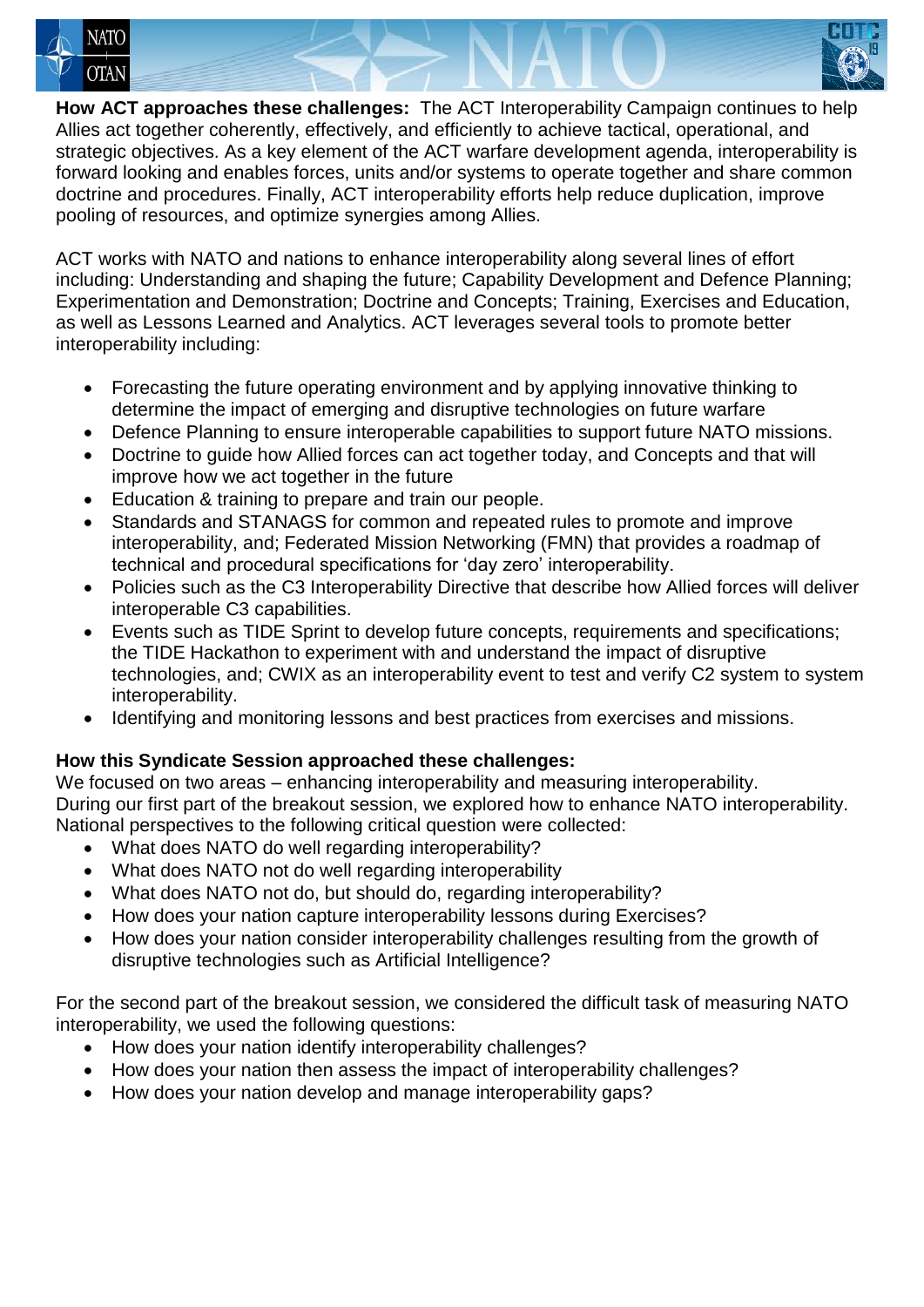



**How ACT approaches these challenges:** The ACT Interoperability Campaign continues to help Allies act together coherently, effectively, and efficiently to achieve tactical, operational, and strategic objectives. As a key element of the ACT warfare development agenda, interoperability is forward looking and enables forces, units and/or systems to operate together and share common doctrine and procedures. Finally, ACT interoperability efforts help reduce duplication, improve pooling of resources, and optimize synergies among Allies.

ACT works with NATO and nations to enhance interoperability along several lines of effort including: Understanding and shaping the future; Capability Development and Defence Planning; Experimentation and Demonstration; Doctrine and Concepts; Training, Exercises and Education, as well as Lessons Learned and Analytics. ACT leverages several tools to promote better interoperability including:

- Forecasting the future operating environment and by applying innovative thinking to determine the impact of emerging and disruptive technologies on future warfare
- Defence Planning to ensure interoperable capabilities to support future NATO missions.
- Doctrine to guide how Allied forces can act together today, and Concepts and that will improve how we act together in the future
- Education & training to prepare and train our people.
- Standards and STANAGS for common and repeated rules to promote and improve interoperability, and; Federated Mission Networking (FMN) that provides a roadmap of technical and procedural specifications for 'day zero' interoperability.
- Policies such as the C3 Interoperability Directive that describe how Allied forces will deliver interoperable C3 capabilities.
- Events such as TIDE Sprint to develop future concepts, requirements and specifications; the TIDE Hackathon to experiment with and understand the impact of disruptive technologies, and; CWIX as an interoperability event to test and verify C2 system to system interoperability.
- Identifying and monitoring lessons and best practices from exercises and missions.

# **How this Syndicate Session approached these challenges:**

We focused on two areas – enhancing interoperability and measuring interoperability. During our first part of the breakout session, we explored how to enhance NATO interoperability. National perspectives to the following critical question were collected:

- What does NATO do well regarding interoperability?
- What does NATO not do well regarding interoperability
- What does NATO not do, but should do, regarding interoperability?
- How does your nation capture interoperability lessons during Exercises?
- How does your nation consider interoperability challenges resulting from the growth of disruptive technologies such as Artificial Intelligence?

For the second part of the breakout session, we considered the difficult task of measuring NATO interoperability, we used the following questions:

- How does your nation identify interoperability challenges?
- How does your nation then assess the impact of interoperability challenges?
- How does your nation develop and manage interoperability gaps?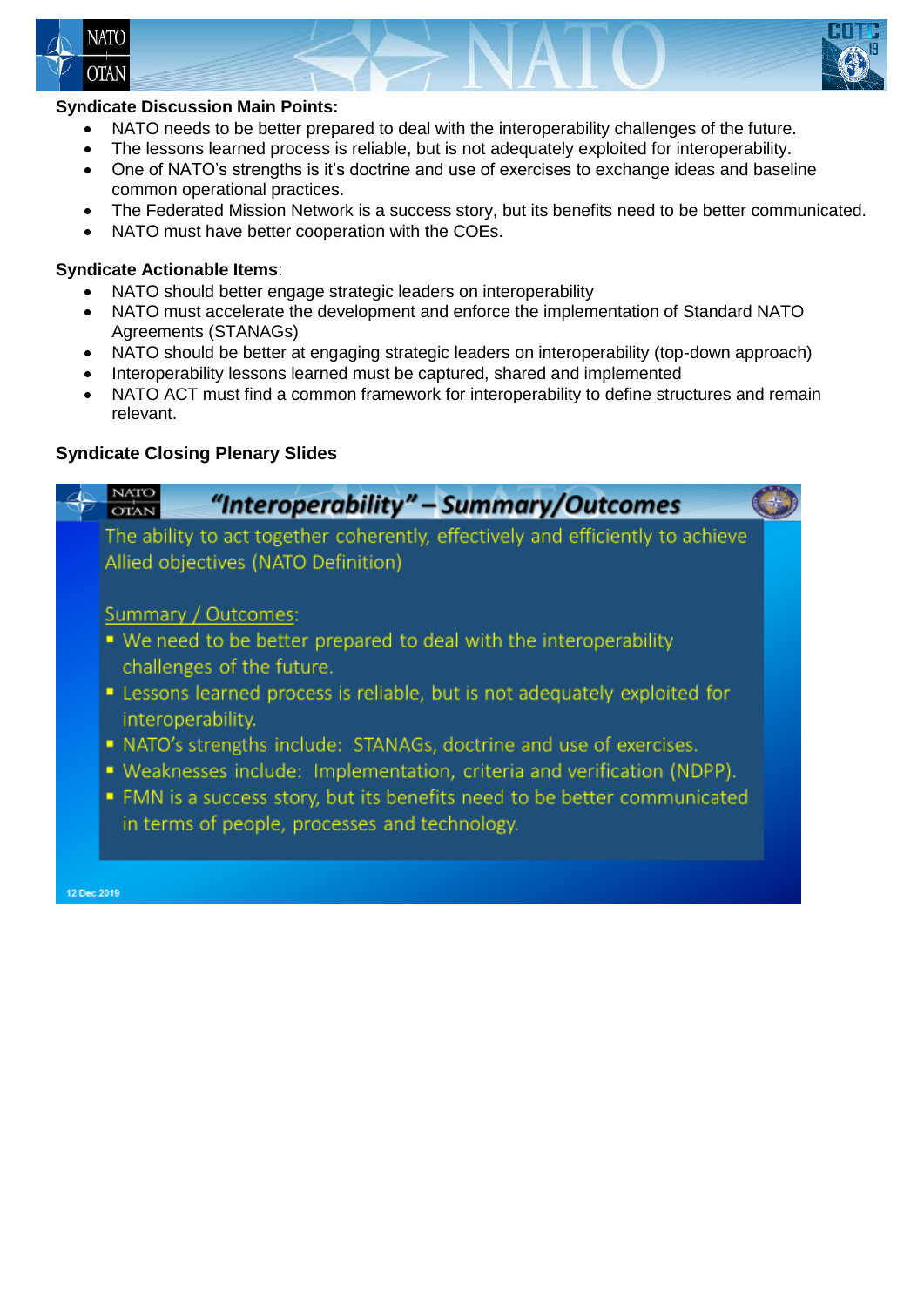



# **Syndicate Discussion Main Points:**

- NATO needs to be better prepared to deal with the interoperability challenges of the future.
- The lessons learned process is reliable, but is not adequately exploited for interoperability.
- One of NATO's strengths is it's doctrine and use of exercises to exchange ideas and baseline common operational practices.
- The Federated Mission Network is a success story, but its benefits need to be better communicated.
- NATO must have better cooperation with the COEs.

# **Syndicate Actionable Items**:

- NATO should better engage strategic leaders on interoperability
- NATO must accelerate the development and enforce the implementation of Standard NATO Agreements (STANAGs)
- NATO should be better at engaging strategic leaders on interoperability (top-down approach)
- Interoperability lessons learned must be captured, shared and implemented
- NATO ACT must find a common framework for interoperability to define structures and remain relevant.

# **Syndicate Closing Plenary Slides**

| "Interoperability" – Summary/Outcomes<br><b>OTAN</b>                                                                                                                                                                                                                                            |  |
|-------------------------------------------------------------------------------------------------------------------------------------------------------------------------------------------------------------------------------------------------------------------------------------------------|--|
| The ability to act together coherently, effectively and efficiently to achieve<br>Allied objectives (NATO Definition)                                                                                                                                                                           |  |
| Summary / Outcomes:<br>■ We need to be better prepared to deal with the interoperability<br>challenges of the future.<br>• Lessons learned process is reliable, but is not adequately exploited for<br>interoperability.<br>• NATO's strengths include: STANAGs, doctrine and use of exercises. |  |
| • Weaknesses include: Implementation, criteria and verification (NDPP).<br>• FMN is a success story, but its benefits need to be better communicated<br>in terms of people, processes and technology.<br>12 Dec 2019                                                                            |  |